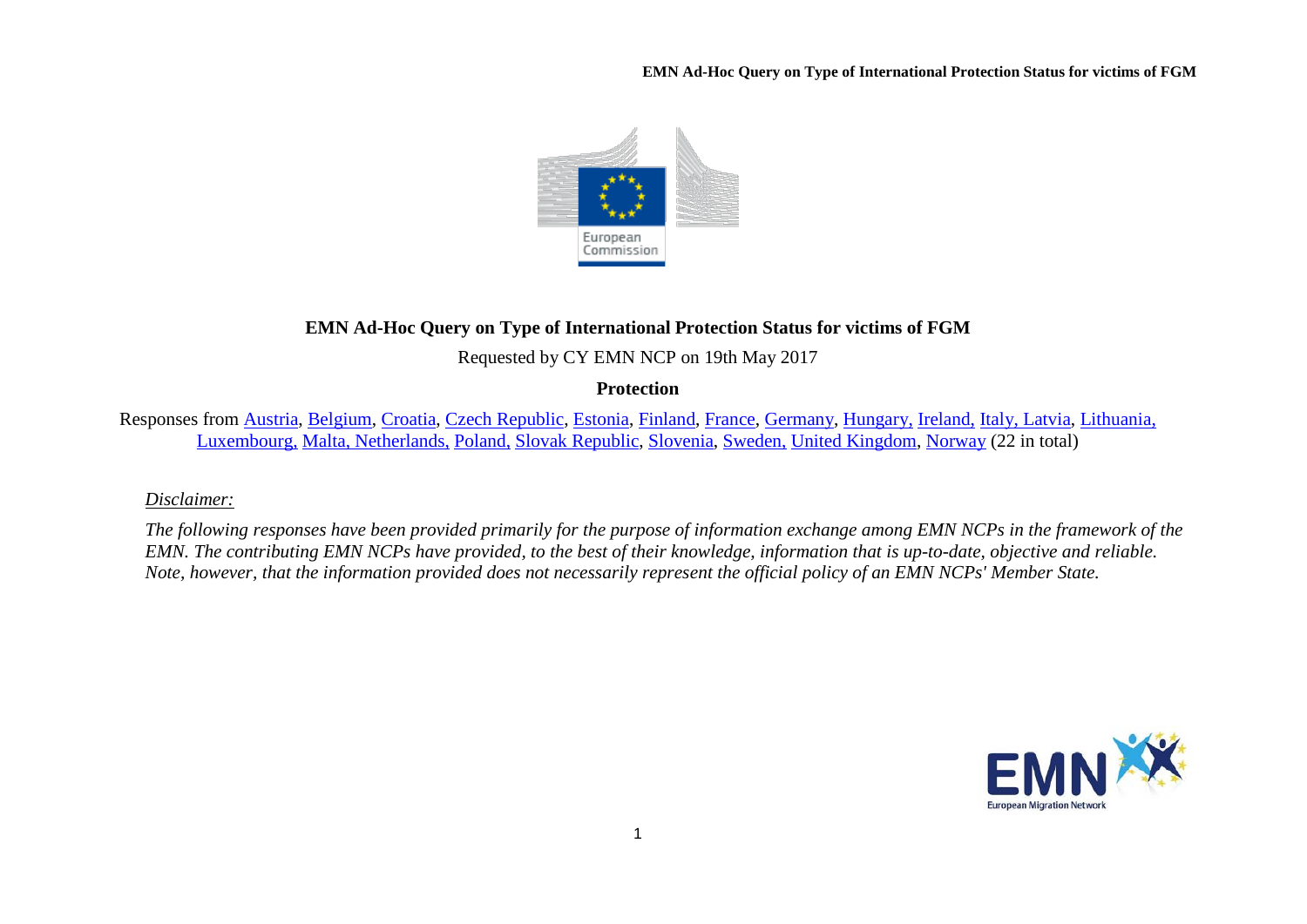**EMN Ad-Hoc Query on Type of International Protection Status for victims of FGM**



# **EMN Ad-Hoc Query on Type of International Protection Status for victims of FGM**

Requested by CY EMN NCP on 19th May 2017

### **Protection**

Responses from [Austria,](#page-1-0) [Belgium,](#page-1-1) [Croatia,](#page-3-0) [Czech Republic,](#page-3-1) [Estonia,](#page-3-2) [Finland,](#page-3-3) [France,](#page-3-4) [Germany,](#page-4-0) [Hungary,](#page-4-1) [Ireland,](#page-5-0) [Italy,](#page-5-1) [Latvia,](#page-5-1) [Lithuania,](#page-6-0) [Luxembourg,](#page-6-1) [Malta, Netherlands,](#page-7-0) [Poland,](#page-8-0) [Slovak Republic,](#page-8-1) [Slovenia,](#page-8-2) [Sweden,](#page-8-3) [United Kingdom,](#page-9-0) [Norway](#page-10-0) (22 in total)

## *Disclaimer:*

*The following responses have been provided primarily for the purpose of information exchange among EMN NCPs in the framework of the EMN. The contributing EMN NCPs have provided, to the best of their knowledge, information that is up-to-date, objective and reliable. Note, however, that the information provided does not necessarily represent the official policy of an EMN NCPs' Member State.*

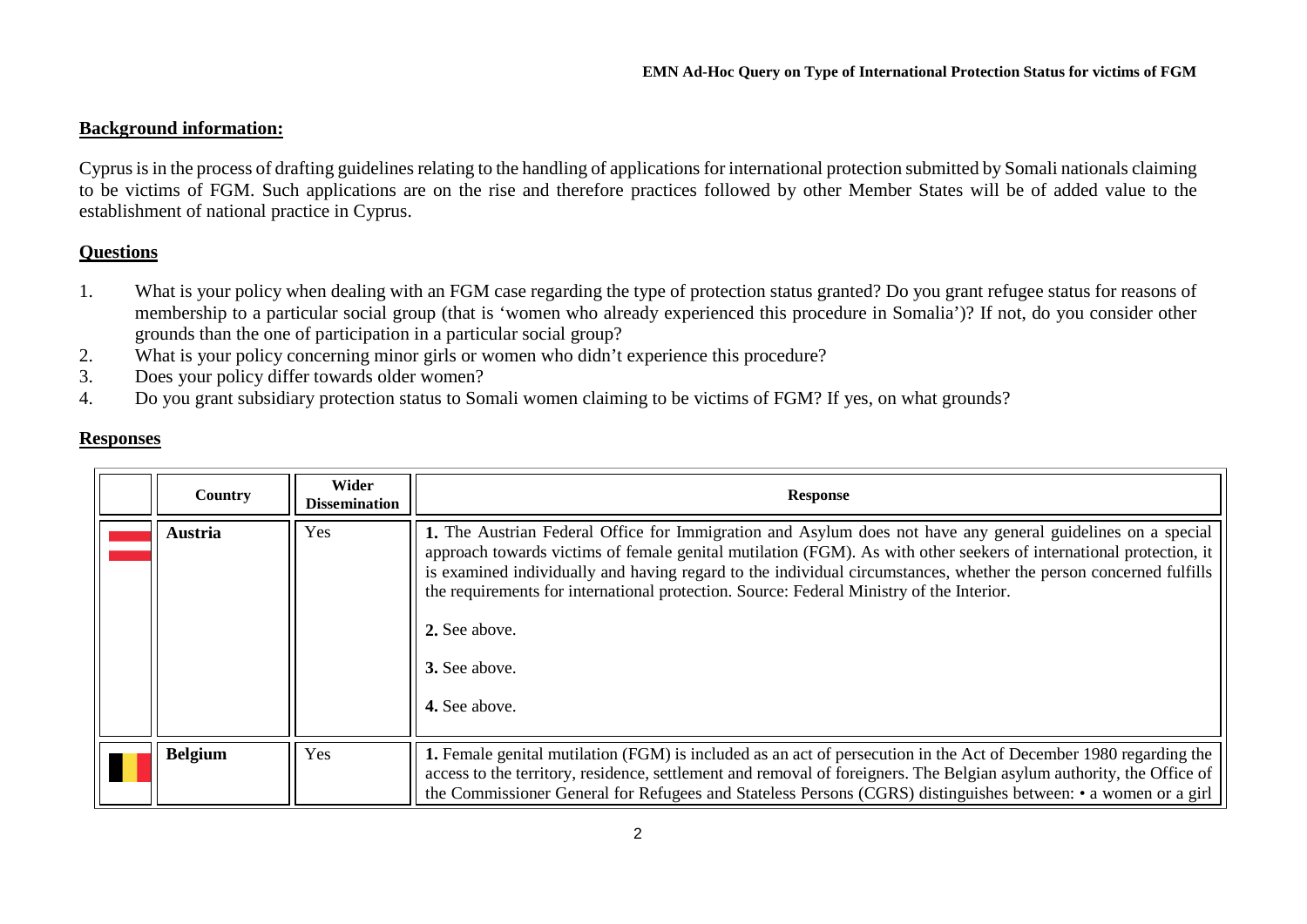### **Background information:**

Cyprus is in the process of drafting guidelines relating to the handling of applications for international protection submitted by Somali nationals claiming to be victims of FGM. Such applications are on the rise and therefore practices followed by other Member States will be of added value to the establishment of national practice in Cyprus.

### **Questions**

- 1. What is your policy when dealing with an FGM case regarding the type of protection status granted? Do you grant refugee status for reasons of membership to a particular social group (that is 'women who already experienced this procedure in Somalia')? If not, do you consider other grounds than the one of participation in a particular social group?
- 2. What is your policy concerning minor girls or women who didn't experience this procedure?<br>3. Does your policy differ towards older women?
- Does your policy differ towards older women?
- 4. Do you grant subsidiary protection status to Somali women claiming to be victims of FGM? If yes, on what grounds?

| <b>Responses</b> |
|------------------|
|------------------|

<span id="page-1-1"></span><span id="page-1-0"></span>

| Country        | Wider<br><b>Dissemination</b> | <b>Response</b>                                                                                                                                                                                                                                                                                                                                                                                                                                                                                       |
|----------------|-------------------------------|-------------------------------------------------------------------------------------------------------------------------------------------------------------------------------------------------------------------------------------------------------------------------------------------------------------------------------------------------------------------------------------------------------------------------------------------------------------------------------------------------------|
| Austria        | Yes                           | 1. The Austrian Federal Office for Immigration and Asylum does not have any general guidelines on a special<br>approach towards victims of female genital mutilation (FGM). As with other seekers of international protection, it<br>is examined individually and having regard to the individual circumstances, whether the person concerned fulfills<br>the requirements for international protection. Source: Federal Ministry of the Interior.<br>2. See above.<br>3. See above.<br>4. See above. |
| <b>Belgium</b> | Yes                           | 1. Female genital mutilation (FGM) is included as an act of persecution in the Act of December 1980 regarding the<br>access to the territory, residence, settlement and removal of foreigners. The Belgian asylum authority, the Office of<br>the Commissioner General for Refugees and Stateless Persons (CGRS) distinguishes between: • a women or a girl                                                                                                                                           |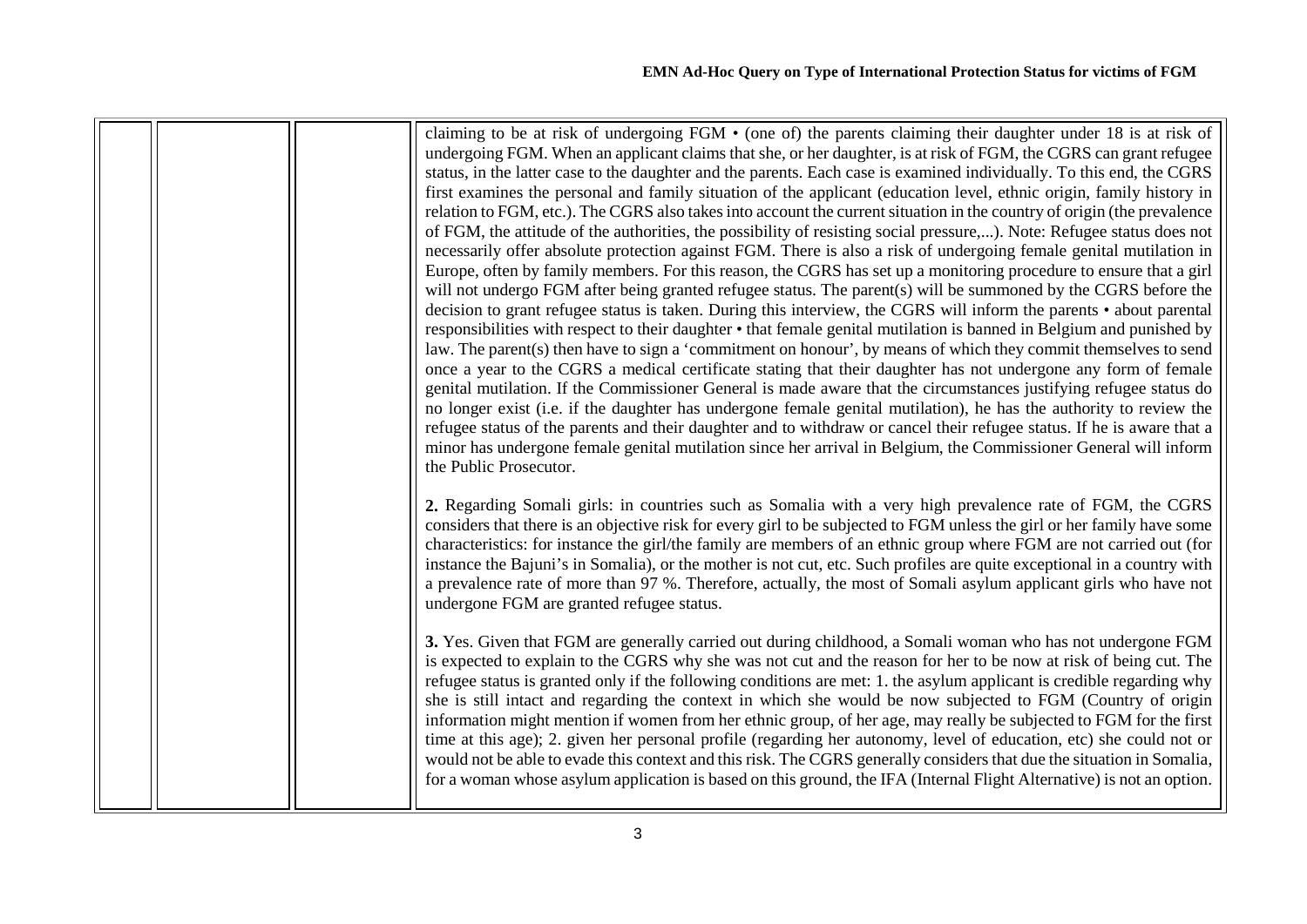|  | claiming to be at risk of undergoing FGM • (one of) the parents claiming their daughter under 18 is at risk of          |
|--|-------------------------------------------------------------------------------------------------------------------------|
|  |                                                                                                                         |
|  | undergoing FGM. When an applicant claims that she, or her daughter, is at risk of FGM, the CGRS can grant refugee       |
|  | status, in the latter case to the daughter and the parents. Each case is examined individually. To this end, the CGRS   |
|  | first examines the personal and family situation of the applicant (education level, ethnic origin, family history in    |
|  | relation to FGM, etc.). The CGRS also takes into account the current situation in the country of origin (the prevalence |
|  | of FGM, the attitude of the authorities, the possibility of resisting social pressure,). Note: Refugee status does not  |
|  | necessarily offer absolute protection against FGM. There is also a risk of undergoing female genital mutilation in      |
|  | Europe, often by family members. For this reason, the CGRS has set up a monitoring procedure to ensure that a girl      |
|  | will not undergo FGM after being granted refugee status. The parent(s) will be summoned by the CGRS before the          |
|  | decision to grant refugee status is taken. During this interview, the CGRS will inform the parents • about parental     |
|  | responsibilities with respect to their daughter • that female genital mutilation is banned in Belgium and punished by   |
|  | law. The parent(s) then have to sign a 'commitment on honour', by means of which they commit themselves to send         |
|  | once a year to the CGRS a medical certificate stating that their daughter has not undergone any form of female          |
|  | genital mutilation. If the Commissioner General is made aware that the circumstances justifying refugee status do       |
|  | no longer exist (i.e. if the daughter has undergone female genital mutilation), he has the authority to review the      |
|  | refugee status of the parents and their daughter and to withdraw or cancel their refugee status. If he is aware that a  |
|  | minor has undergone female genital mutilation since her arrival in Belgium, the Commissioner General will inform        |
|  | the Public Prosecutor.                                                                                                  |
|  |                                                                                                                         |
|  | 2. Regarding Somali girls: in countries such as Somalia with a very high prevalence rate of FGM, the CGRS               |
|  | considers that there is an objective risk for every girl to be subjected to FGM unless the girl or her family have some |
|  | characteristics: for instance the girl/the family are members of an ethnic group where FGM are not carried out (for     |
|  | instance the Bajuni's in Somalia), or the mother is not cut, etc. Such profiles are quite exceptional in a country with |
|  | a prevalence rate of more than 97 %. Therefore, actually, the most of Somali asylum applicant girls who have not        |
|  | undergone FGM are granted refugee status.                                                                               |
|  |                                                                                                                         |
|  | 3. Yes. Given that FGM are generally carried out during childhood, a Somali woman who has not undergone FGM             |
|  | is expected to explain to the CGRS why she was not cut and the reason for her to be now at risk of being cut. The       |
|  | refugee status is granted only if the following conditions are met: 1. the asylum applicant is credible regarding why   |
|  | she is still intact and regarding the context in which she would be now subjected to FGM (Country of origin             |
|  | information might mention if women from her ethnic group, of her age, may really be subjected to FGM for the first      |
|  | time at this age); 2. given her personal profile (regarding her autonomy, level of education, etc) she could not or     |
|  | would not be able to evade this context and this risk. The CGRS generally considers that due the situation in Somalia,  |
|  | for a woman whose asylum application is based on this ground, the IFA (Internal Flight Alternative) is not an option.   |
|  |                                                                                                                         |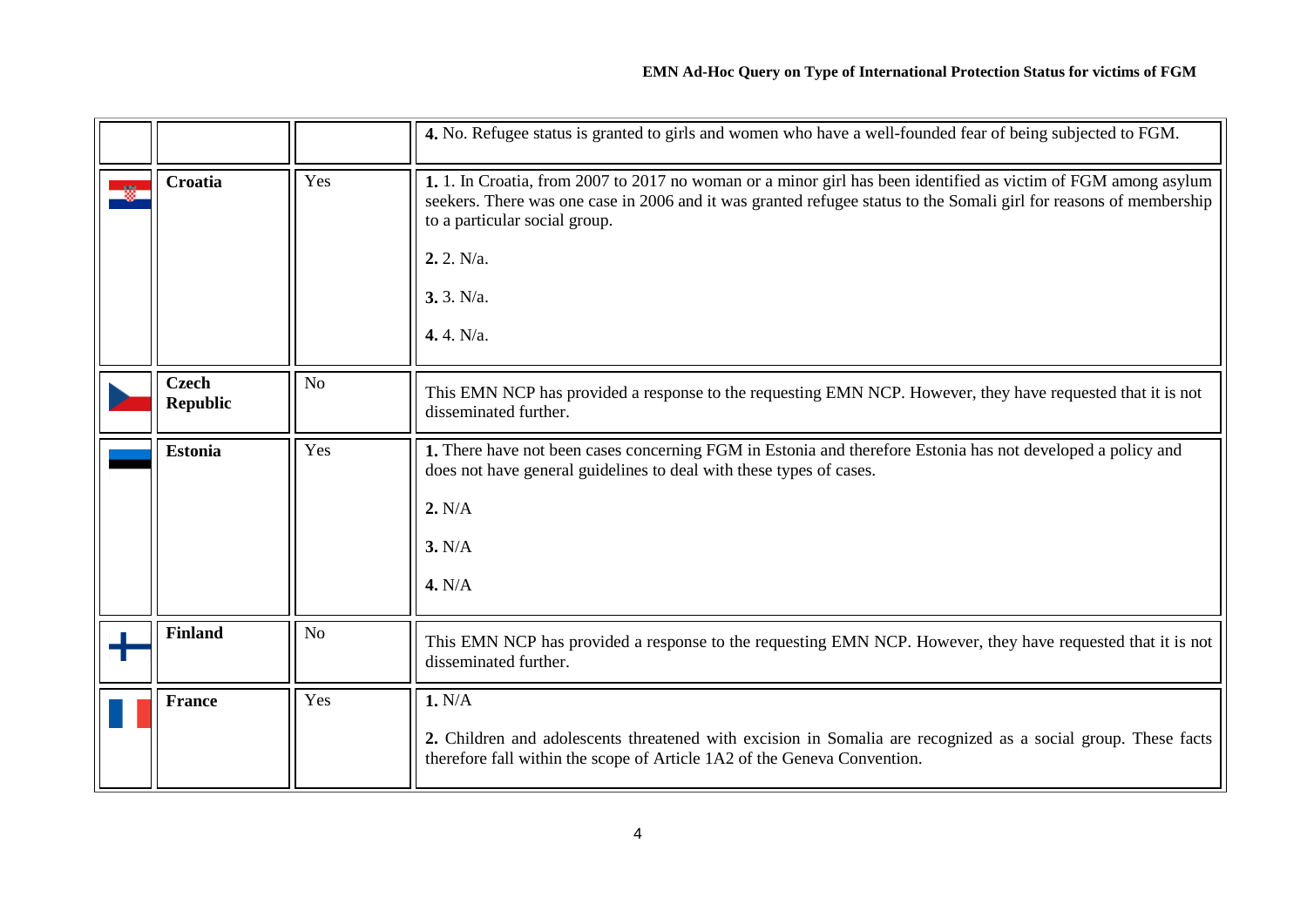<span id="page-3-4"></span><span id="page-3-3"></span><span id="page-3-2"></span><span id="page-3-1"></span><span id="page-3-0"></span>

|                                 |                | 4. No. Refugee status is granted to girls and women who have a well-founded fear of being subjected to FGM.                                                                                                                                                                                                     |
|---------------------------------|----------------|-----------------------------------------------------------------------------------------------------------------------------------------------------------------------------------------------------------------------------------------------------------------------------------------------------------------|
| Croatia                         | Yes            | 1. 1. In Croatia, from 2007 to 2017 no woman or a minor girl has been identified as victim of FGM among asylum<br>seekers. There was one case in 2006 and it was granted refugee status to the Somali girl for reasons of membership<br>to a particular social group.<br>2.2. N/a.<br>3.3. N/a.<br>4.4. $N/a$ . |
| <b>Czech</b><br><b>Republic</b> | N <sub>o</sub> | This EMN NCP has provided a response to the requesting EMN NCP. However, they have requested that it is not<br>disseminated further.                                                                                                                                                                            |
| <b>Estonia</b>                  | Yes            | 1. There have not been cases concerning FGM in Estonia and therefore Estonia has not developed a policy and<br>does not have general guidelines to deal with these types of cases.<br>2. N/A<br>3. N/A<br>4. N/A                                                                                                |
| <b>Finland</b>                  | N <sub>o</sub> | This EMN NCP has provided a response to the requesting EMN NCP. However, they have requested that it is not<br>disseminated further.                                                                                                                                                                            |
| <b>France</b>                   | Yes            | 1. N/A<br>2. Children and adolescents threatened with excision in Somalia are recognized as a social group. These facts<br>therefore fall within the scope of Article 1A2 of the Geneva Convention.                                                                                                             |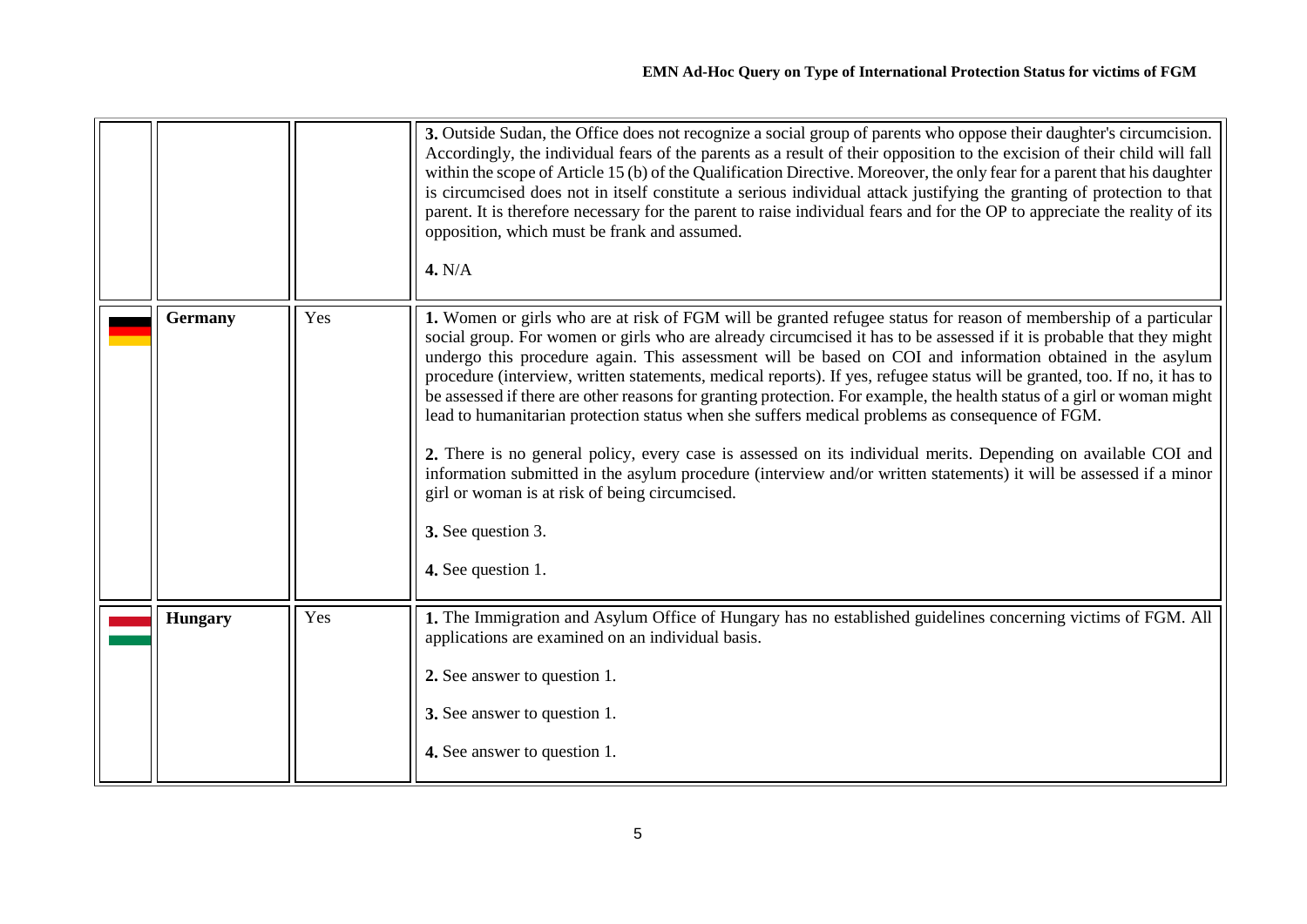<span id="page-4-1"></span><span id="page-4-0"></span>

|                |     | 3. Outside Sudan, the Office does not recognize a social group of parents who oppose their daughter's circumcision.<br>Accordingly, the individual fears of the parents as a result of their opposition to the excision of their child will fall<br>within the scope of Article 15 (b) of the Qualification Directive. Moreover, the only fear for a parent that his daughter<br>is circumcised does not in itself constitute a serious individual attack justifying the granting of protection to that<br>parent. It is therefore necessary for the parent to raise individual fears and for the OP to appreciate the reality of its<br>opposition, which must be frank and assumed.<br>4. N/A                                                                                                                                                                                                                                                                                                                                                        |
|----------------|-----|--------------------------------------------------------------------------------------------------------------------------------------------------------------------------------------------------------------------------------------------------------------------------------------------------------------------------------------------------------------------------------------------------------------------------------------------------------------------------------------------------------------------------------------------------------------------------------------------------------------------------------------------------------------------------------------------------------------------------------------------------------------------------------------------------------------------------------------------------------------------------------------------------------------------------------------------------------------------------------------------------------------------------------------------------------|
| <b>Germany</b> | Yes | 1. Women or girls who are at risk of FGM will be granted refugee status for reason of membership of a particular<br>social group. For women or girls who are already circumcised it has to be assessed if it is probable that they might<br>undergo this procedure again. This assessment will be based on COI and information obtained in the asylum<br>procedure (interview, written statements, medical reports). If yes, refugee status will be granted, too. If no, it has to<br>be assessed if there are other reasons for granting protection. For example, the health status of a girl or woman might<br>lead to humanitarian protection status when she suffers medical problems as consequence of FGM.<br>2. There is no general policy, every case is assessed on its individual merits. Depending on available COI and<br>information submitted in the asylum procedure (interview and/or written statements) it will be assessed if a minor<br>girl or woman is at risk of being circumcised.<br>3. See question 3.<br>4. See question 1. |
| <b>Hungary</b> | Yes | 1. The Immigration and Asylum Office of Hungary has no established guidelines concerning victims of FGM. All<br>applications are examined on an individual basis.<br>2. See answer to question 1.<br>3. See answer to question 1.<br>4. See answer to question 1.                                                                                                                                                                                                                                                                                                                                                                                                                                                                                                                                                                                                                                                                                                                                                                                      |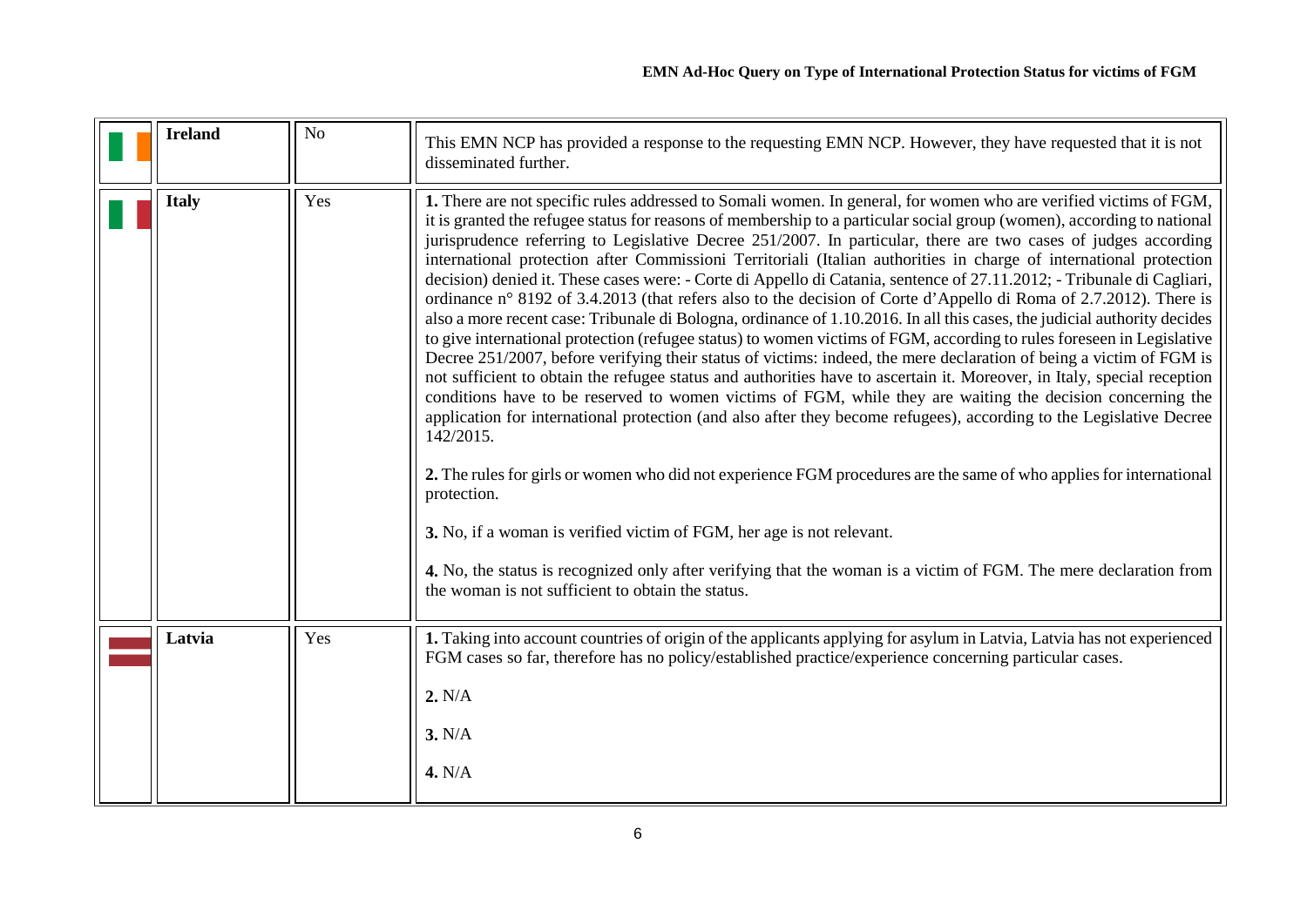<span id="page-5-1"></span><span id="page-5-0"></span>

| <b>Ireland</b> | N <sub>o</sub> | This EMN NCP has provided a response to the requesting EMN NCP. However, they have requested that it is not<br>disseminated further.                                                                                                                                                                                                                                                                                                                                                                                                                                                                                                                                                                                                                                                                                                                                                                                                                                                                                                                                                                                                                                                                                                                                                                                                                                                                                                                                                                                                                                                                                                                                                                                                                                                                                                                                                 |
|----------------|----------------|--------------------------------------------------------------------------------------------------------------------------------------------------------------------------------------------------------------------------------------------------------------------------------------------------------------------------------------------------------------------------------------------------------------------------------------------------------------------------------------------------------------------------------------------------------------------------------------------------------------------------------------------------------------------------------------------------------------------------------------------------------------------------------------------------------------------------------------------------------------------------------------------------------------------------------------------------------------------------------------------------------------------------------------------------------------------------------------------------------------------------------------------------------------------------------------------------------------------------------------------------------------------------------------------------------------------------------------------------------------------------------------------------------------------------------------------------------------------------------------------------------------------------------------------------------------------------------------------------------------------------------------------------------------------------------------------------------------------------------------------------------------------------------------------------------------------------------------------------------------------------------------|
| <b>Italy</b>   | Yes            | 1. There are not specific rules addressed to Somali women. In general, for women who are verified victims of FGM,<br>it is granted the refugee status for reasons of membership to a particular social group (women), according to national<br>jurisprudence referring to Legislative Decree 251/2007. In particular, there are two cases of judges according<br>international protection after Commissioni Territoriali (Italian authorities in charge of international protection<br>decision) denied it. These cases were: - Corte di Appello di Catania, sentence of 27.11.2012; - Tribunale di Cagliari,<br>ordinance n° 8192 of 3.4.2013 (that refers also to the decision of Corte d'Appello di Roma of 2.7.2012). There is<br>also a more recent case: Tribunale di Bologna, ordinance of 1.10.2016. In all this cases, the judicial authority decides<br>to give international protection (refugee status) to women victims of FGM, according to rules foreseen in Legislative<br>Decree 251/2007, before verifying their status of victims: indeed, the mere declaration of being a victim of FGM is<br>not sufficient to obtain the refugee status and authorities have to ascertain it. Moreover, in Italy, special reception<br>conditions have to be reserved to women victims of FGM, while they are waiting the decision concerning the<br>application for international protection (and also after they become refugees), according to the Legislative Decree<br>142/2015.<br>2. The rules for girls or women who did not experience FGM procedures are the same of who applies for international<br>protection.<br>3. No, if a woman is verified victim of FGM, her age is not relevant.<br>4. No, the status is recognized only after verifying that the woman is a victim of FGM. The mere declaration from<br>the woman is not sufficient to obtain the status. |
| Latvia         | Yes            | 1. Taking into account countries of origin of the applicants applying for asylum in Latvia, Latvia has not experienced<br>FGM cases so far, therefore has no policy/established practice/experience concerning particular cases.<br>2. N/A<br>3. N/A<br>4. N/A                                                                                                                                                                                                                                                                                                                                                                                                                                                                                                                                                                                                                                                                                                                                                                                                                                                                                                                                                                                                                                                                                                                                                                                                                                                                                                                                                                                                                                                                                                                                                                                                                       |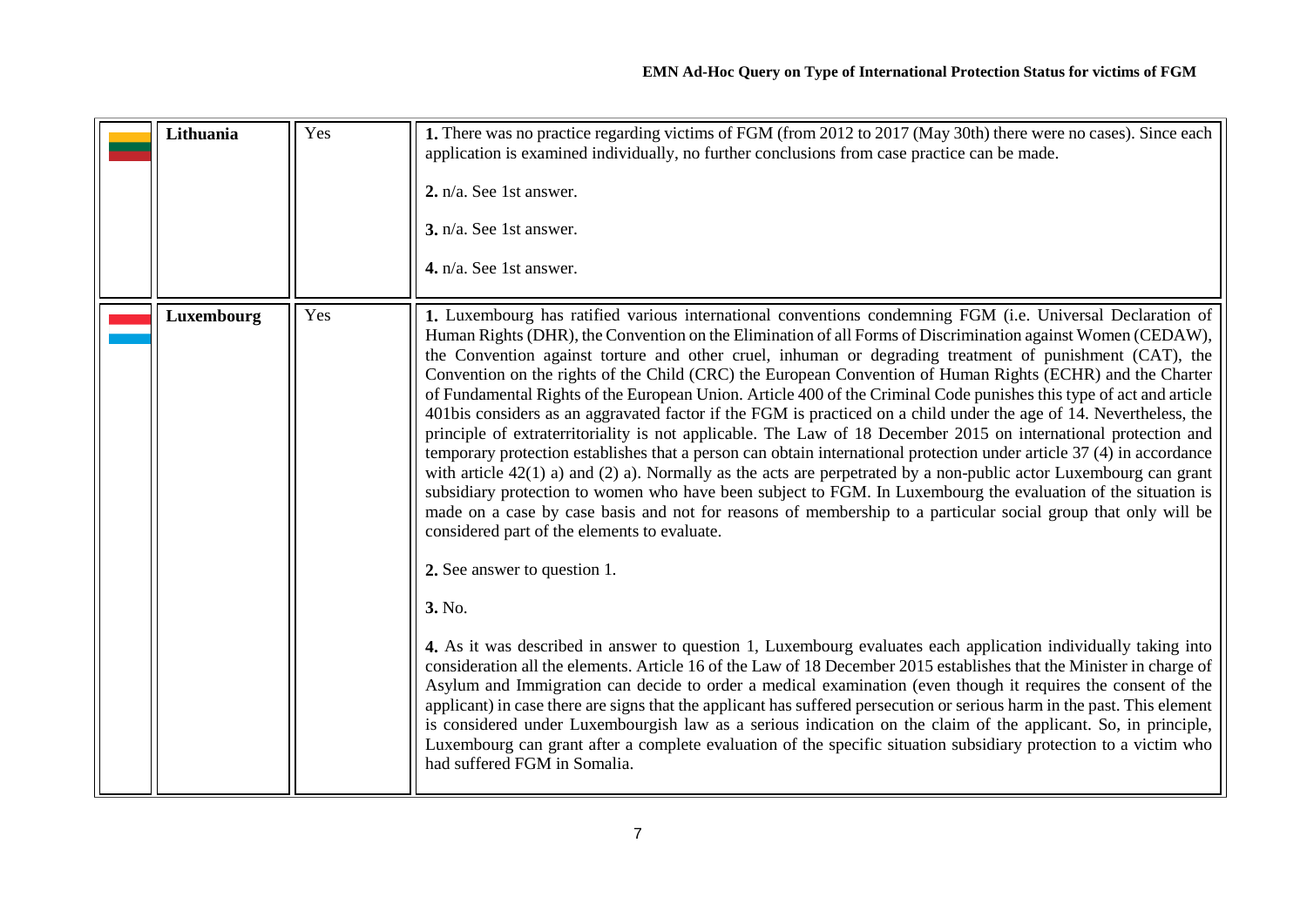<span id="page-6-1"></span><span id="page-6-0"></span>

| Lithuania  | Yes | 1. There was no practice regarding victims of FGM (from 2012 to 2017 (May 30th) there were no cases). Since each<br>application is examined individually, no further conclusions from case practice can be made.<br>2. n/a. See 1st answer.<br>3. n/a. See 1st answer.<br>4. n/a. See 1st answer.                                                                                                                                                                                                                                                                                                                                                                                                                                                                                                                                                                                                                                                                                                                                                                                                                                                                                                                                                                                                                                                                                                                                                                                                                                                                                                                                                                                                                                                                                                                                                                                    |
|------------|-----|--------------------------------------------------------------------------------------------------------------------------------------------------------------------------------------------------------------------------------------------------------------------------------------------------------------------------------------------------------------------------------------------------------------------------------------------------------------------------------------------------------------------------------------------------------------------------------------------------------------------------------------------------------------------------------------------------------------------------------------------------------------------------------------------------------------------------------------------------------------------------------------------------------------------------------------------------------------------------------------------------------------------------------------------------------------------------------------------------------------------------------------------------------------------------------------------------------------------------------------------------------------------------------------------------------------------------------------------------------------------------------------------------------------------------------------------------------------------------------------------------------------------------------------------------------------------------------------------------------------------------------------------------------------------------------------------------------------------------------------------------------------------------------------------------------------------------------------------------------------------------------------|
| Luxembourg | Yes | 1. Luxembourg has ratified various international conventions condemning FGM (i.e. Universal Declaration of<br>Human Rights (DHR), the Convention on the Elimination of all Forms of Discrimination against Women (CEDAW),<br>the Convention against torture and other cruel, inhuman or degrading treatment of punishment (CAT), the<br>Convention on the rights of the Child (CRC) the European Convention of Human Rights (ECHR) and the Charter<br>of Fundamental Rights of the European Union. Article 400 of the Criminal Code punishes this type of act and article<br>401bis considers as an aggravated factor if the FGM is practiced on a child under the age of 14. Nevertheless, the<br>principle of extraterritoriality is not applicable. The Law of 18 December 2015 on international protection and<br>temporary protection establishes that a person can obtain international protection under article 37 (4) in accordance<br>with article $42(1)$ a) and (2) a). Normally as the acts are perpetrated by a non-public actor Luxembourg can grant<br>subsidiary protection to women who have been subject to FGM. In Luxembourg the evaluation of the situation is<br>made on a case by case basis and not for reasons of membership to a particular social group that only will be<br>considered part of the elements to evaluate.<br>2. See answer to question 1.<br>3. No.<br>4. As it was described in answer to question 1, Luxembourg evaluates each application individually taking into<br>consideration all the elements. Article 16 of the Law of 18 December 2015 establishes that the Minister in charge of<br>Asylum and Immigration can decide to order a medical examination (even though it requires the consent of the<br>applicant) in case there are signs that the applicant has suffered persecution or serious harm in the past. This element |
|            |     | is considered under Luxembourgish law as a serious indication on the claim of the applicant. So, in principle,<br>Luxembourg can grant after a complete evaluation of the specific situation subsidiary protection to a victim who<br>had suffered FGM in Somalia.                                                                                                                                                                                                                                                                                                                                                                                                                                                                                                                                                                                                                                                                                                                                                                                                                                                                                                                                                                                                                                                                                                                                                                                                                                                                                                                                                                                                                                                                                                                                                                                                                   |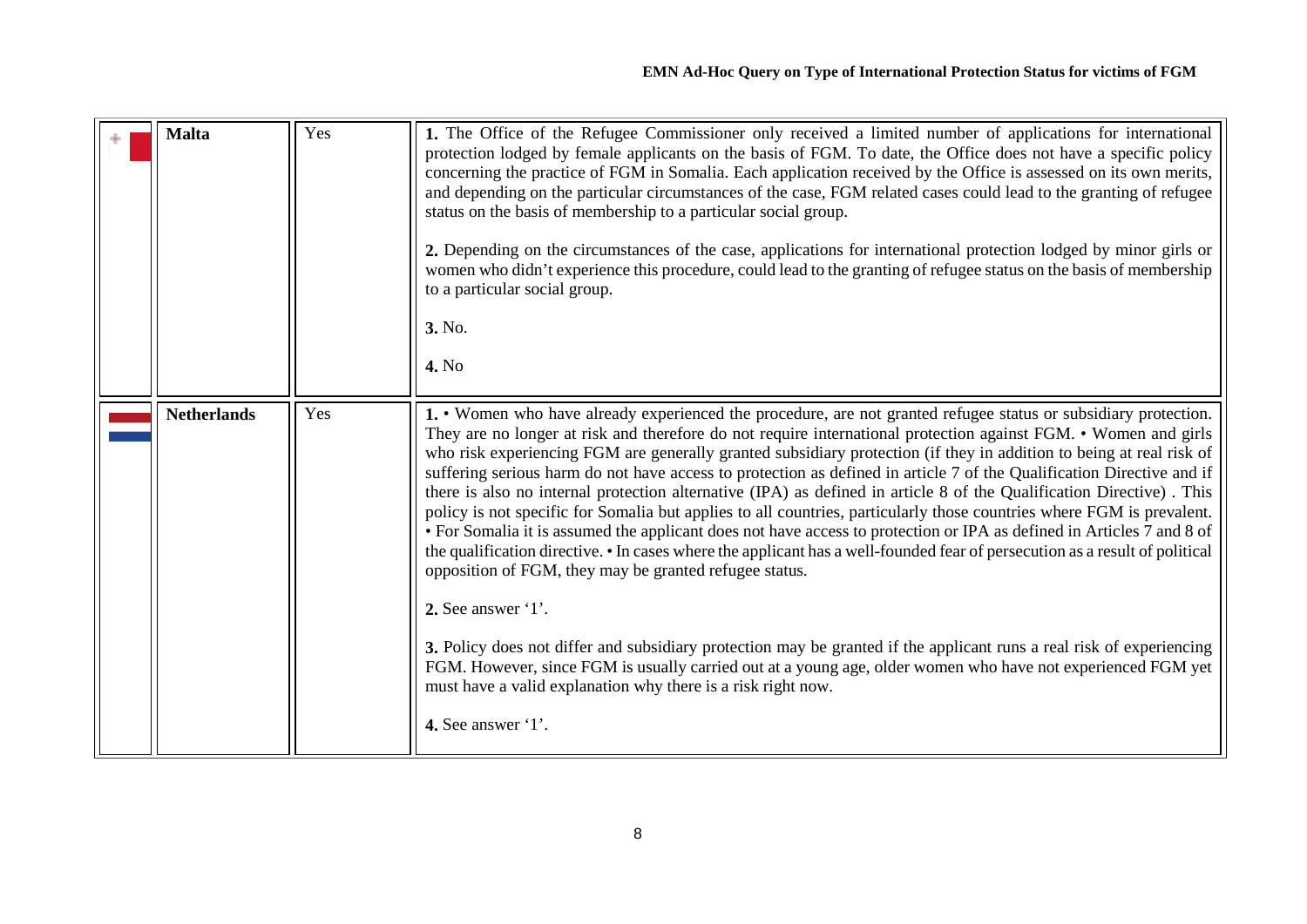<span id="page-7-0"></span>

| <b>Malta</b>       | Yes | 1. The Office of the Refugee Commissioner only received a limited number of applications for international<br>protection lodged by female applicants on the basis of FGM. To date, the Office does not have a specific policy<br>concerning the practice of FGM in Somalia. Each application received by the Office is assessed on its own merits,<br>and depending on the particular circumstances of the case, FGM related cases could lead to the granting of refugee<br>status on the basis of membership to a particular social group.<br>2. Depending on the circumstances of the case, applications for international protection lodged by minor girls or<br>women who didn't experience this procedure, could lead to the granting of refugee status on the basis of membership<br>to a particular social group.<br>3. No.<br>4. No                                                                                                                                                                                                                                                                                                                                                                                                                                                                                                                                                              |
|--------------------|-----|----------------------------------------------------------------------------------------------------------------------------------------------------------------------------------------------------------------------------------------------------------------------------------------------------------------------------------------------------------------------------------------------------------------------------------------------------------------------------------------------------------------------------------------------------------------------------------------------------------------------------------------------------------------------------------------------------------------------------------------------------------------------------------------------------------------------------------------------------------------------------------------------------------------------------------------------------------------------------------------------------------------------------------------------------------------------------------------------------------------------------------------------------------------------------------------------------------------------------------------------------------------------------------------------------------------------------------------------------------------------------------------------------------|
| <b>Netherlands</b> | Yes | 1. • Women who have already experienced the procedure, are not granted refugee status or subsidiary protection.<br>They are no longer at risk and therefore do not require international protection against FGM. • Women and girls<br>who risk experiencing FGM are generally granted subsidiary protection (if they in addition to being at real risk of<br>suffering serious harm do not have access to protection as defined in article 7 of the Qualification Directive and if<br>there is also no internal protection alternative (IPA) as defined in article 8 of the Qualification Directive). This<br>policy is not specific for Somalia but applies to all countries, particularly those countries where FGM is prevalent.<br>• For Somalia it is assumed the applicant does not have access to protection or IPA as defined in Articles 7 and 8 of<br>the qualification directive. • In cases where the applicant has a well-founded fear of persecution as a result of political<br>opposition of FGM, they may be granted refugee status.<br>2. See answer '1'.<br>3. Policy does not differ and subsidiary protection may be granted if the applicant runs a real risk of experiencing<br>FGM. However, since FGM is usually carried out at a young age, older women who have not experienced FGM yet<br>must have a valid explanation why there is a risk right now.<br>4. See answer '1'. |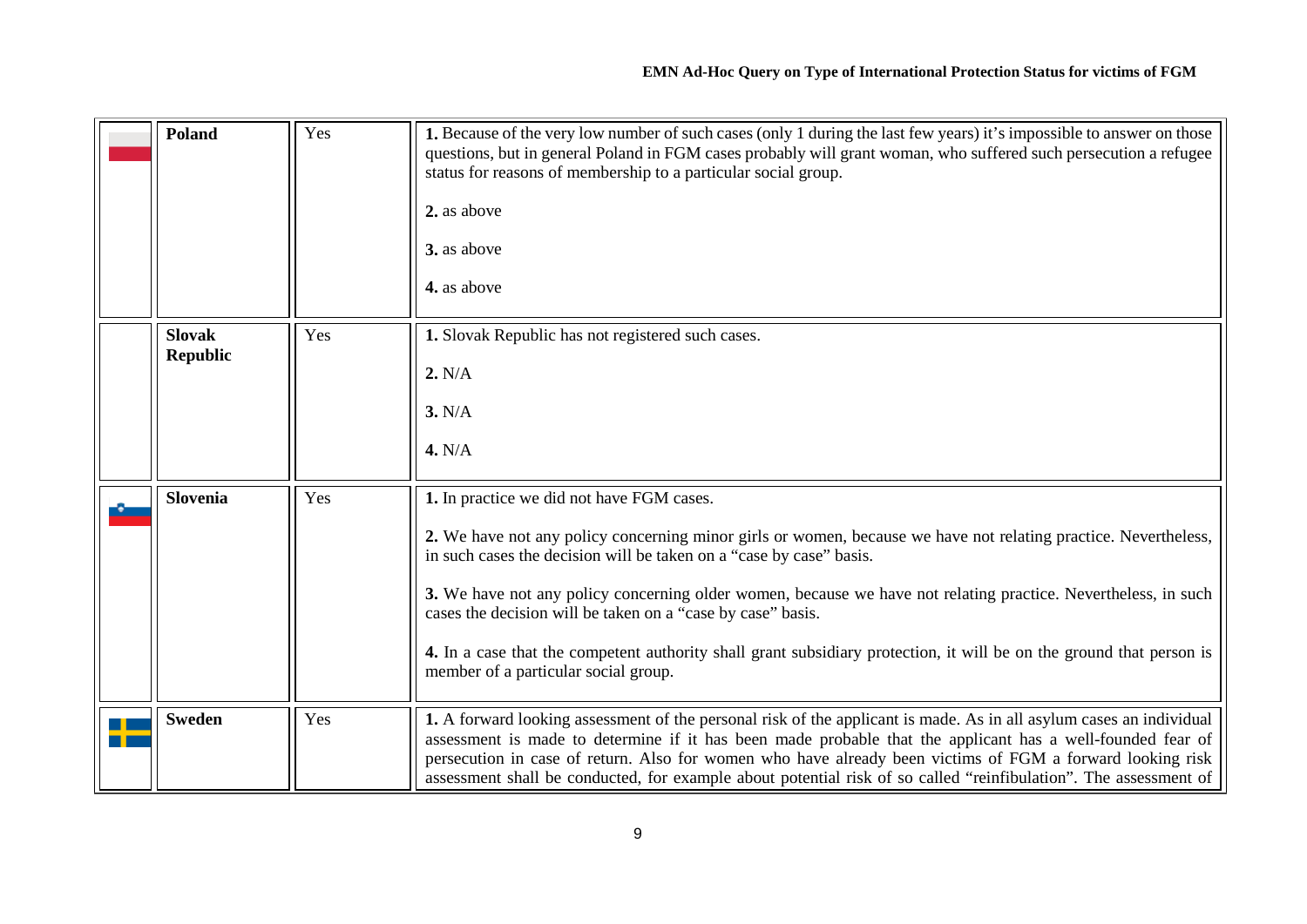<span id="page-8-3"></span><span id="page-8-2"></span><span id="page-8-1"></span><span id="page-8-0"></span>

| <b>Poland</b>                    | Yes | 1. Because of the very low number of such cases (only 1 during the last few years) it's impossible to answer on those<br>questions, but in general Poland in FGM cases probably will grant woman, who suffered such persecution a refugee<br>status for reasons of membership to a particular social group.<br>2. as above<br>3. as above<br>4. as above                                                                                                                                                                                                                             |
|----------------------------------|-----|--------------------------------------------------------------------------------------------------------------------------------------------------------------------------------------------------------------------------------------------------------------------------------------------------------------------------------------------------------------------------------------------------------------------------------------------------------------------------------------------------------------------------------------------------------------------------------------|
| <b>Slovak</b><br><b>Republic</b> | Yes | 1. Slovak Republic has not registered such cases.<br>2. N/A<br>3. N/A<br>4. N/A                                                                                                                                                                                                                                                                                                                                                                                                                                                                                                      |
| Slovenia                         | Yes | 1. In practice we did not have FGM cases.<br>2. We have not any policy concerning minor girls or women, because we have not relating practice. Nevertheless,<br>in such cases the decision will be taken on a "case by case" basis.<br>3. We have not any policy concerning older women, because we have not relating practice. Nevertheless, in such<br>cases the decision will be taken on a "case by case" basis.<br>4. In a case that the competent authority shall grant subsidiary protection, it will be on the ground that person is<br>member of a particular social group. |
| <b>Sweden</b>                    | Yes | 1. A forward looking assessment of the personal risk of the applicant is made. As in all asylum cases an individual<br>assessment is made to determine if it has been made probable that the applicant has a well-founded fear of<br>persecution in case of return. Also for women who have already been victims of FGM a forward looking risk<br>assessment shall be conducted, for example about potential risk of so called "reinfibulation". The assessment of                                                                                                                   |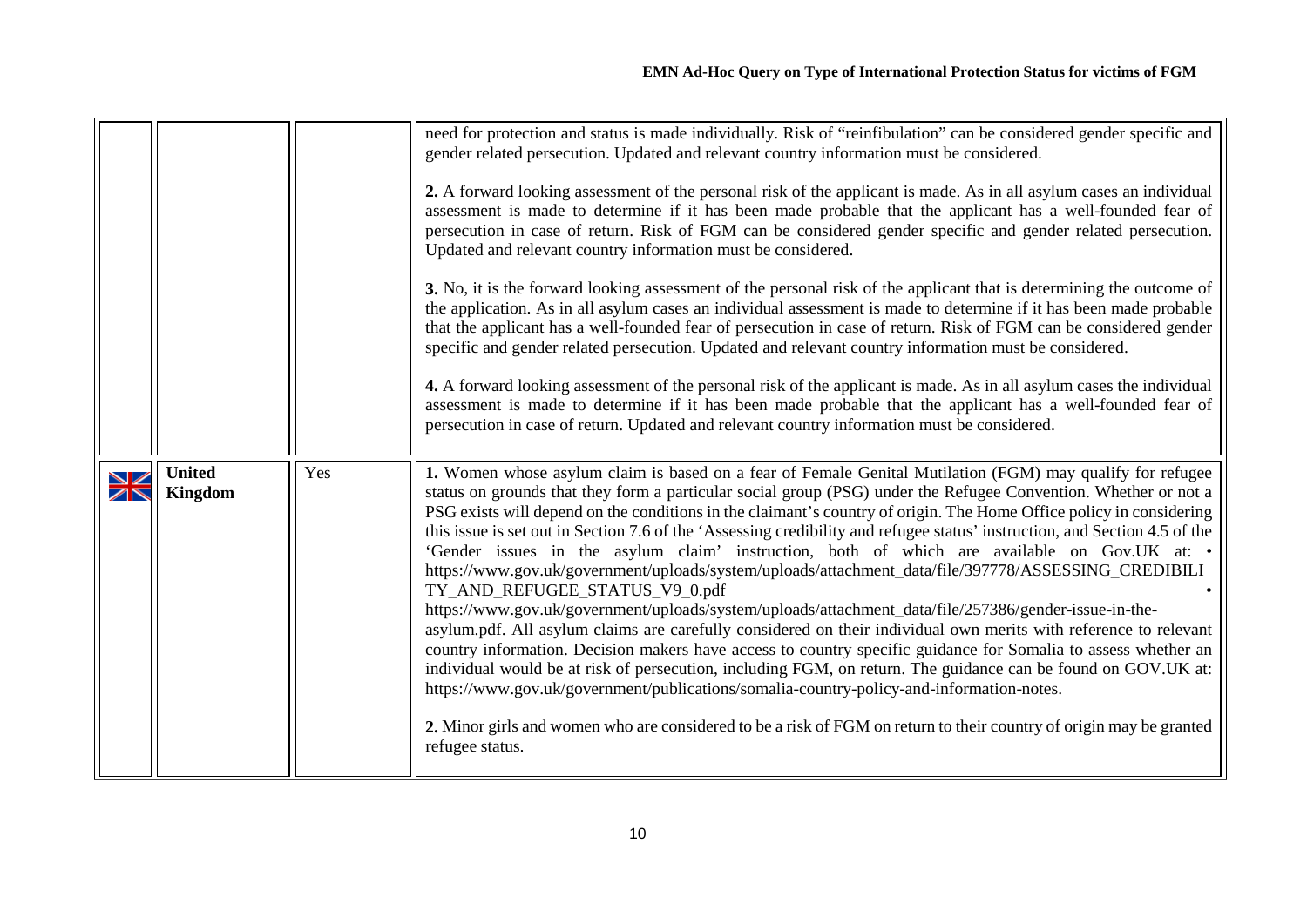<span id="page-9-0"></span>

|                                                         |                          |     | need for protection and status is made individually. Risk of "reinfibulation" can be considered gender specific and<br>gender related persecution. Updated and relevant country information must be considered.<br>2. A forward looking assessment of the personal risk of the applicant is made. As in all asylum cases an individual<br>assessment is made to determine if it has been made probable that the applicant has a well-founded fear of<br>persecution in case of return. Risk of FGM can be considered gender specific and gender related persecution.<br>Updated and relevant country information must be considered.<br>3. No, it is the forward looking assessment of the personal risk of the applicant that is determining the outcome of<br>the application. As in all asylum cases an individual assessment is made to determine if it has been made probable<br>that the applicant has a well-founded fear of persecution in case of return. Risk of FGM can be considered gender<br>specific and gender related persecution. Updated and relevant country information must be considered.<br>4. A forward looking assessment of the personal risk of the applicant is made. As in all asylum cases the individual<br>assessment is made to determine if it has been made probable that the applicant has a well-founded fear of<br>persecution in case of return. Updated and relevant country information must be considered. |
|---------------------------------------------------------|--------------------------|-----|-------------------------------------------------------------------------------------------------------------------------------------------------------------------------------------------------------------------------------------------------------------------------------------------------------------------------------------------------------------------------------------------------------------------------------------------------------------------------------------------------------------------------------------------------------------------------------------------------------------------------------------------------------------------------------------------------------------------------------------------------------------------------------------------------------------------------------------------------------------------------------------------------------------------------------------------------------------------------------------------------------------------------------------------------------------------------------------------------------------------------------------------------------------------------------------------------------------------------------------------------------------------------------------------------------------------------------------------------------------------------------------------------------------------------------------------------------|
| $\blacktriangleright$ $\blacktriangleright$<br>$\times$ | <b>United</b><br>Kingdom | Yes | 1. Women whose asylum claim is based on a fear of Female Genital Mutilation (FGM) may qualify for refugee<br>status on grounds that they form a particular social group (PSG) under the Refugee Convention. Whether or not a<br>PSG exists will depend on the conditions in the claimant's country of origin. The Home Office policy in considering<br>this issue is set out in Section 7.6 of the 'Assessing credibility and refugee status' instruction, and Section 4.5 of the<br>'Gender issues in the asylum claim' instruction, both of which are available on Gov.UK at: .<br>https://www.gov.uk/government/uploads/system/uploads/attachment_data/file/397778/ASSESSING_CREDIBILI<br>TY_AND_REFUGEE_STATUS_V9_0.pdf<br>https://www.gov.uk/government/uploads/system/uploads/attachment_data/file/257386/gender-issue-in-the-<br>asylum.pdf. All asylum claims are carefully considered on their individual own merits with reference to relevant<br>country information. Decision makers have access to country specific guidance for Somalia to assess whether an<br>individual would be at risk of persecution, including FGM, on return. The guidance can be found on GOV.UK at:<br>https://www.gov.uk/government/publications/somalia-country-policy-and-information-notes.<br>2. Minor girls and women who are considered to be a risk of FGM on return to their country of origin may be granted<br>refugee status.                     |